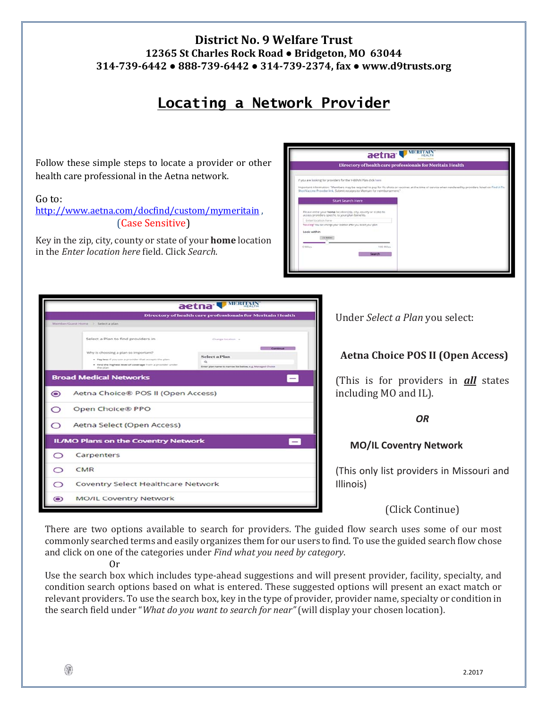# **District No. 9 Welfare Trust 12365 St Charles Rock Road ● Bridgeton, MO 63044 314‐739‐6442 ● 888‐739‐6442 ● 314‐739‐2374, fax ● www.d9trusts.org**

# **Locating a Network Provider**

Follow these simple steps to locate a provider or other health care professional in the Aetna network.

### Go to:

http://www.aetna.com/docfind/custom/mymeritain , (Case Sensitive)

Key in the zip, city, county or state of your **home** location in the *Enter location here* field. Click *Search*.

| aetna <sup>'</sup> MERITAIN                                                                                         |                                                                                                                                                         |  |  |  |  |  |  |
|---------------------------------------------------------------------------------------------------------------------|---------------------------------------------------------------------------------------------------------------------------------------------------------|--|--|--|--|--|--|
| Directory of health care professionals for Meritain Health                                                          |                                                                                                                                                         |  |  |  |  |  |  |
| If you are looking for providers for the V-BENN Plan click here                                                     |                                                                                                                                                         |  |  |  |  |  |  |
| Shot/Vaccine Provider link, Submit receipts to Mentain for reimbursement."                                          | important information: "Members may be required to pay for fiu shots or vaccines at the time of service when rendered by providers listed on find A Flu |  |  |  |  |  |  |
| <b>Start Search Here</b>                                                                                            |                                                                                                                                                         |  |  |  |  |  |  |
| Please enter your home location (zip, city, county or state) to<br>access providers specific to your plan benefits. |                                                                                                                                                         |  |  |  |  |  |  |
| <b>Enter Incation here</b>                                                                                          |                                                                                                                                                         |  |  |  |  |  |  |
| Traveling? You can change your incates arteryou select your plan.                                                   |                                                                                                                                                         |  |  |  |  |  |  |
| Look within                                                                                                         |                                                                                                                                                         |  |  |  |  |  |  |
| 25 Miles                                                                                                            |                                                                                                                                                         |  |  |  |  |  |  |
|                                                                                                                     |                                                                                                                                                         |  |  |  |  |  |  |
| 100 Miles<br>O Mileni                                                                                               |                                                                                                                                                         |  |  |  |  |  |  |
| Search                                                                                                              |                                                                                                                                                         |  |  |  |  |  |  |
|                                                                                                                     |                                                                                                                                                         |  |  |  |  |  |  |
|                                                                                                                     |                                                                                                                                                         |  |  |  |  |  |  |
|                                                                                                                     |                                                                                                                                                         |  |  |  |  |  |  |

|           |                                                                                                                                                                                                                 | aetna <b>WERTAIN</b>                                                                                                 |  |  |  |  |  |  |  |
|-----------|-----------------------------------------------------------------------------------------------------------------------------------------------------------------------------------------------------------------|----------------------------------------------------------------------------------------------------------------------|--|--|--|--|--|--|--|
|           |                                                                                                                                                                                                                 | Directory of health care professionals for Meritain Health                                                           |  |  |  |  |  |  |  |
|           | Marriber/Guest Home > Select a plan                                                                                                                                                                             |                                                                                                                      |  |  |  |  |  |  |  |
|           | Select a Plan to find providers in<br>Why is choosing a plan so important?<br>. Payless if you use a provider that accepts the plan.<br>. Find the highest level of coverage from a provider under<br>the plan. | Change tocation in<br><b>Select a Plan</b><br>$\alpha$<br>Siller plan name to narrow lot below, e.g. Managed Choice. |  |  |  |  |  |  |  |
|           | <b>Broad Medical Networks</b>                                                                                                                                                                                   |                                                                                                                      |  |  |  |  |  |  |  |
| $\bullet$ | Aetna Choice® POS II (Open Access)                                                                                                                                                                              |                                                                                                                      |  |  |  |  |  |  |  |
| っ         | Open Choice® PPO                                                                                                                                                                                                |                                                                                                                      |  |  |  |  |  |  |  |
| っ         | Aetna Select (Open Access)                                                                                                                                                                                      |                                                                                                                      |  |  |  |  |  |  |  |
|           | IL/MO Plans on the Coventry Network                                                                                                                                                                             |                                                                                                                      |  |  |  |  |  |  |  |
| ⊂         | Carpenters                                                                                                                                                                                                      |                                                                                                                      |  |  |  |  |  |  |  |
| ◯         | CMR                                                                                                                                                                                                             |                                                                                                                      |  |  |  |  |  |  |  |
| ⊂         |                                                                                                                                                                                                                 | <b>Coventry Select Healthcare Network</b>                                                                            |  |  |  |  |  |  |  |
| $\bullet$ | <b>MO/IL Coventry Network</b>                                                                                                                                                                                   |                                                                                                                      |  |  |  |  |  |  |  |

Under *Select a Plan* you select:

## **Aetna Choice POS II (Open Access)**

(This is for providers in *all* states including MO and IL).

*OR* 

## **MO/IL Coventry Network**

(This only list providers in Missouri and Illinois)

## (Click Continue)

There are two options available to search for providers. The guided flow search uses some of our most commonly searched terms and easily organizes them for our users to find. To use the guided search flow chose and click on one of the categories under *Find what you need by category*.

#### Or

Use the search box which includes type-ahead suggestions and will present provider, facility, specialty, and condition search options based on what is entered. These suggested options will present an exact match or relevant providers. To use the search box, key in the type of provider, provider name, specialty or condition in the search field under "*What do you want to search for near"* (will display your chosen location).